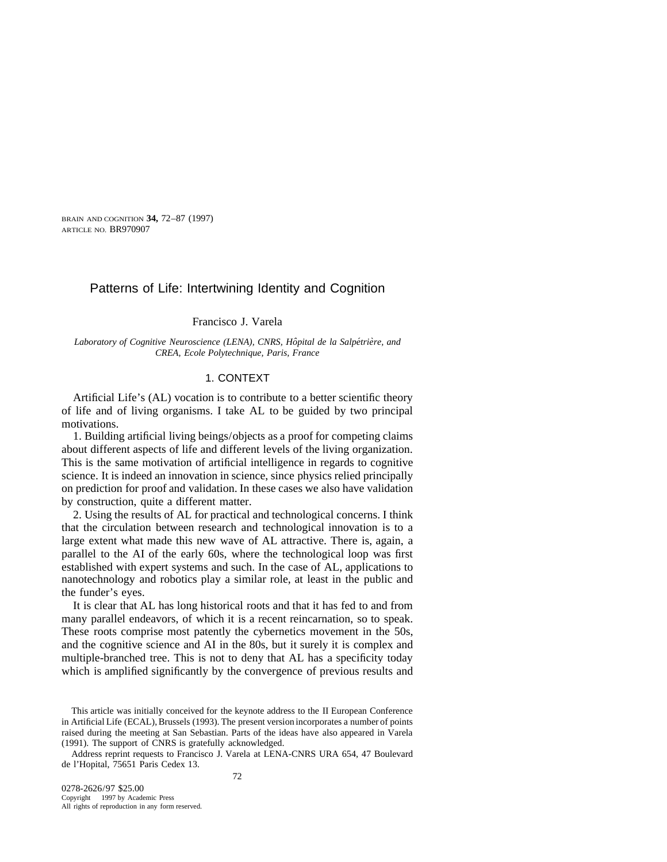# Patterns of Life: Intertwining Identity and Cognition

Francisco J. Varela

Laboratory of Cognitive Neuroscience (LENA), CNRS, Hôpital de la Salpétrière, and *CREA, Ecole Polytechnique, Paris, France*

#### 1. CONTEXT

Artificial Life's (AL) vocation is to contribute to a better scientific theory of life and of living organisms. I take AL to be guided by two principal motivations.

1. Building artificial living beings/objects as a proof for competing claims about different aspects of life and different levels of the living organization. This is the same motivation of artificial intelligence in regards to cognitive science. It is indeed an innovation in science, since physics relied principally on prediction for proof and validation. In these cases we also have validation by construction, quite a different matter.

2. Using the results of AL for practical and technological concerns. I think that the circulation between research and technological innovation is to a large extent what made this new wave of AL attractive. There is, again, a parallel to the AI of the early 60s, where the technological loop was first established with expert systems and such. In the case of AL, applications to nanotechnology and robotics play a similar role, at least in the public and the funder's eyes.

It is clear that AL has long historical roots and that it has fed to and from many parallel endeavors, of which it is a recent reincarnation, so to speak. These roots comprise most patently the cybernetics movement in the 50s, and the cognitive science and AI in the 80s, but it surely it is complex and multiple-branched tree. This is not to deny that AL has a specificity today which is amplified significantly by the convergence of previous results and

This article was initially conceived for the keynote address to the II European Conference in Artificial Life (ECAL), Brussels (1993). The present version incorporates a number of points raised during the meeting at San Sebastian. Parts of the ideas have also appeared in Varela (1991). The support of CNRS is gratefully acknowledged.

Address reprint requests to Francisco J. Varela at LENA-CNRS URA 654, 47 Boulevard de l'Hopital, 75651 Paris Cedex 13.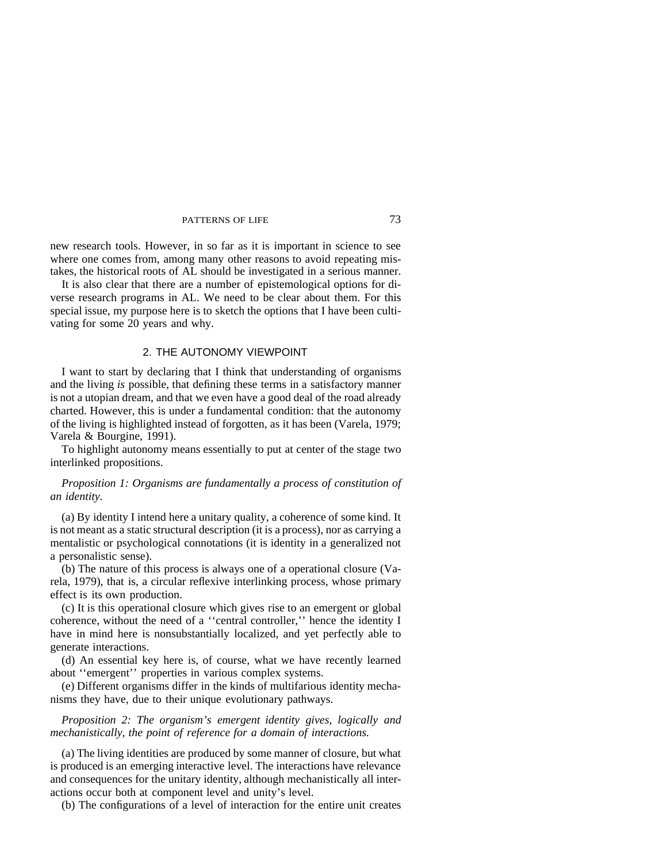new research tools. However, in so far as it is important in science to see where one comes from, among many other reasons to avoid repeating mistakes, the historical roots of AL should be investigated in a serious manner.

It is also clear that there are a number of epistemological options for diverse research programs in AL. We need to be clear about them. For this special issue, my purpose here is to sketch the options that I have been cultivating for some 20 years and why.

### 2. THE AUTONOMY VIEWPOINT

I want to start by declaring that I think that understanding of organisms and the living *is* possible, that defining these terms in a satisfactory manner is not a utopian dream, and that we even have a good deal of the road already charted. However, this is under a fundamental condition: that the autonomy of the living is highlighted instead of forgotten, as it has been (Varela, 1979; Varela & Bourgine, 1991).

To highlight autonomy means essentially to put at center of the stage two interlinked propositions.

*Proposition 1: Organisms are fundamentally a process of constitution of an identity.*

(a) By identity I intend here a unitary quality, a coherence of some kind. It is not meant as a static structural description (it is a process), nor as carrying a mentalistic or psychological connotations (it is identity in a generalized not a personalistic sense).

(b) The nature of this process is always one of a operational closure (Varela, 1979), that is, a circular reflexive interlinking process, whose primary effect is its own production.

(c) It is this operational closure which gives rise to an emergent or global coherence, without the need of a ''central controller,'' hence the identity I have in mind here is nonsubstantially localized, and yet perfectly able to generate interactions.

(d) An essential key here is, of course, what we have recently learned about ''emergent'' properties in various complex systems.

(e) Different organisms differ in the kinds of multifarious identity mechanisms they have, due to their unique evolutionary pathways.

*Proposition 2: The organism's emergent identity gives, logically and mechanistically, the point of reference for a domain of interactions.*

(a) The living identities are produced by some manner of closure, but what is produced is an emerging interactive level. The interactions have relevance and consequences for the unitary identity, although mechanistically all interactions occur both at component level and unity's level.

(b) The configurations of a level of interaction for the entire unit creates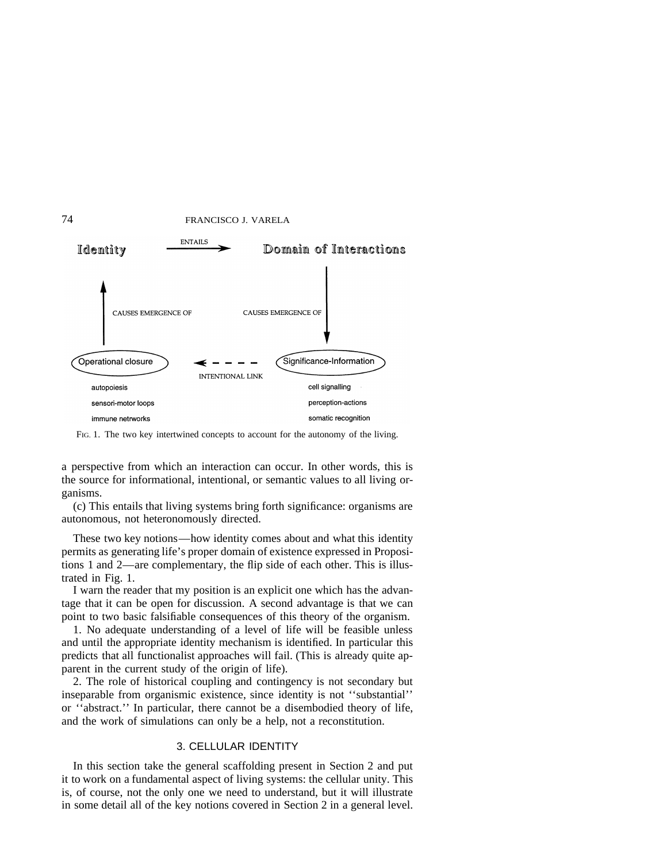

FIG. 1. The two key intertwined concepts to account for the autonomy of the living.

a perspective from which an interaction can occur. In other words, this is the source for informational, intentional, or semantic values to all living organisms.

(c) This entails that living systems bring forth significance: organisms are autonomous, not heteronomously directed.

These two key notions—how identity comes about and what this identity permits as generating life's proper domain of existence expressed in Propositions 1 and 2—are complementary, the flip side of each other. This is illustrated in Fig. 1.

I warn the reader that my position is an explicit one which has the advantage that it can be open for discussion. A second advantage is that we can point to two basic falsifiable consequences of this theory of the organism.

1. No adequate understanding of a level of life will be feasible unless and until the appropriate identity mechanism is identified. In particular this predicts that all functionalist approaches will fail. (This is already quite apparent in the current study of the origin of life).

2. The role of historical coupling and contingency is not secondary but inseparable from organismic existence, since identity is not ''substantial'' or ''abstract.'' In particular, there cannot be a disembodied theory of life, and the work of simulations can only be a help, not a reconstitution.

### 3. CELLULAR IDENTITY

In this section take the general scaffolding present in Section 2 and put it to work on a fundamental aspect of living systems: the cellular unity. This is, of course, not the only one we need to understand, but it will illustrate in some detail all of the key notions covered in Section 2 in a general level.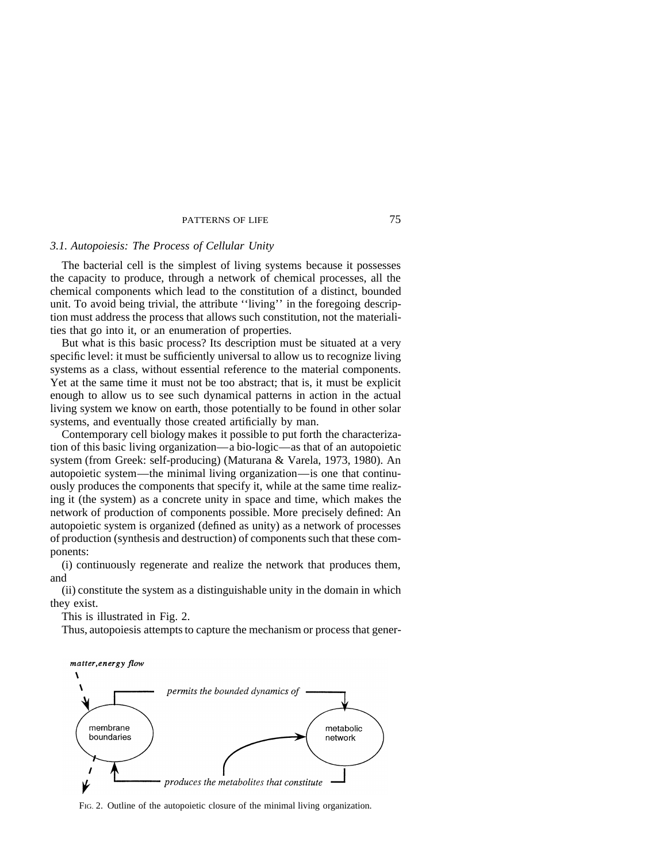### *3.1. Autopoiesis: The Process of Cellular Unity*

The bacterial cell is the simplest of living systems because it possesses the capacity to produce, through a network of chemical processes, all the chemical components which lead to the constitution of a distinct, bounded unit. To avoid being trivial, the attribute ''living'' in the foregoing description must address the process that allows such constitution, not the materialities that go into it, or an enumeration of properties.

But what is this basic process? Its description must be situated at a very specific level: it must be sufficiently universal to allow us to recognize living systems as a class, without essential reference to the material components. Yet at the same time it must not be too abstract; that is, it must be explicit enough to allow us to see such dynamical patterns in action in the actual living system we know on earth, those potentially to be found in other solar systems, and eventually those created artificially by man.

Contemporary cell biology makes it possible to put forth the characterization of this basic living organization—a bio-logic—as that of an autopoietic system (from Greek: self-producing) (Maturana & Varela, 1973, 1980). An autopoietic system—the minimal living organization—is one that continuously produces the components that specify it, while at the same time realizing it (the system) as a concrete unity in space and time, which makes the network of production of components possible. More precisely defined: An autopoietic system is organized (defined as unity) as a network of processes of production (synthesis and destruction) of components such that these components:

(i) continuously regenerate and realize the network that produces them, and

(ii) constitute the system as a distinguishable unity in the domain in which they exist.

This is illustrated in Fig. 2.

Thus, autopoiesis attempts to capture the mechanism or process that gener-



FIG. 2. Outline of the autopoietic closure of the minimal living organization.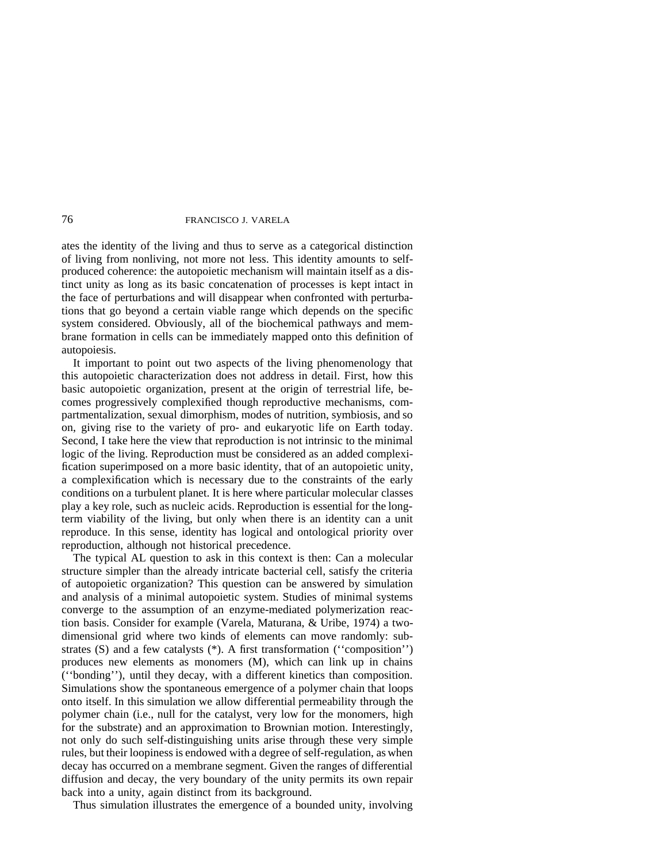ates the identity of the living and thus to serve as a categorical distinction of living from nonliving, not more not less. This identity amounts to selfproduced coherence: the autopoietic mechanism will maintain itself as a distinct unity as long as its basic concatenation of processes is kept intact in the face of perturbations and will disappear when confronted with perturbations that go beyond a certain viable range which depends on the specific system considered. Obviously, all of the biochemical pathways and membrane formation in cells can be immediately mapped onto this definition of autopoiesis.

It important to point out two aspects of the living phenomenology that this autopoietic characterization does not address in detail. First, how this basic autopoietic organization, present at the origin of terrestrial life, becomes progressively complexified though reproductive mechanisms, compartmentalization, sexual dimorphism, modes of nutrition, symbiosis, and so on, giving rise to the variety of pro- and eukaryotic life on Earth today. Second, I take here the view that reproduction is not intrinsic to the minimal logic of the living. Reproduction must be considered as an added complexification superimposed on a more basic identity, that of an autopoietic unity, a complexification which is necessary due to the constraints of the early conditions on a turbulent planet. It is here where particular molecular classes play a key role, such as nucleic acids. Reproduction is essential for the longterm viability of the living, but only when there is an identity can a unit reproduce. In this sense, identity has logical and ontological priority over reproduction, although not historical precedence.

The typical AL question to ask in this context is then: Can a molecular structure simpler than the already intricate bacterial cell, satisfy the criteria of autopoietic organization? This question can be answered by simulation and analysis of a minimal autopoietic system. Studies of minimal systems converge to the assumption of an enzyme-mediated polymerization reaction basis. Consider for example (Varela, Maturana, & Uribe, 1974) a twodimensional grid where two kinds of elements can move randomly: substrates (S) and a few catalysts (\*). A first transformation (''composition'') produces new elements as monomers (M), which can link up in chains (''bonding''), until they decay, with a different kinetics than composition. Simulations show the spontaneous emergence of a polymer chain that loops onto itself. In this simulation we allow differential permeability through the polymer chain (i.e., null for the catalyst, very low for the monomers, high for the substrate) and an approximation to Brownian motion. Interestingly, not only do such self-distinguishing units arise through these very simple rules, but their loopiness is endowed with a degree of self-regulation, as when decay has occurred on a membrane segment. Given the ranges of differential diffusion and decay, the very boundary of the unity permits its own repair back into a unity, again distinct from its background.

Thus simulation illustrates the emergence of a bounded unity, involving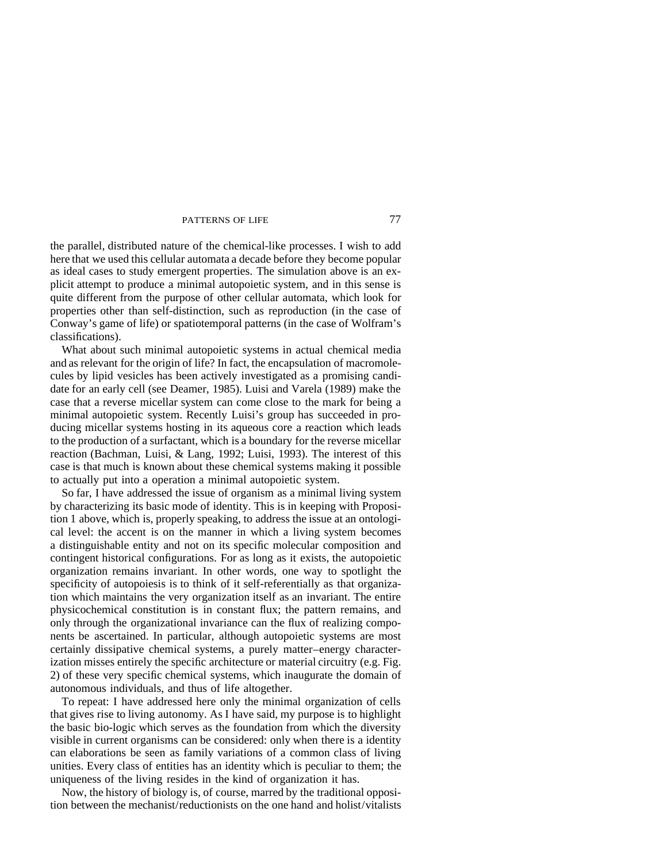the parallel, distributed nature of the chemical-like processes. I wish to add here that we used this cellular automata a decade before they become popular as ideal cases to study emergent properties. The simulation above is an explicit attempt to produce a minimal autopoietic system, and in this sense is quite different from the purpose of other cellular automata, which look for properties other than self-distinction, such as reproduction (in the case of Conway's game of life) or spatiotemporal patterns (in the case of Wolfram's classifications).

What about such minimal autopoietic systems in actual chemical media and as relevant for the origin of life? In fact, the encapsulation of macromolecules by lipid vesicles has been actively investigated as a promising candidate for an early cell (see Deamer, 1985). Luisi and Varela (1989) make the case that a reverse micellar system can come close to the mark for being a minimal autopoietic system. Recently Luisi's group has succeeded in producing micellar systems hosting in its aqueous core a reaction which leads to the production of a surfactant, which is a boundary for the reverse micellar reaction (Bachman, Luisi, & Lang, 1992; Luisi, 1993). The interest of this case is that much is known about these chemical systems making it possible to actually put into a operation a minimal autopoietic system.

So far, I have addressed the issue of organism as a minimal living system by characterizing its basic mode of identity. This is in keeping with Proposition 1 above, which is, properly speaking, to address the issue at an ontological level: the accent is on the manner in which a living system becomes a distinguishable entity and not on its specific molecular composition and contingent historical configurations. For as long as it exists, the autopoietic organization remains invariant. In other words, one way to spotlight the specificity of autopoiesis is to think of it self-referentially as that organization which maintains the very organization itself as an invariant. The entire physicochemical constitution is in constant flux; the pattern remains, and only through the organizational invariance can the flux of realizing components be ascertained. In particular, although autopoietic systems are most certainly dissipative chemical systems, a purely matter–energy characterization misses entirely the specific architecture or material circuitry (e.g. Fig. 2) of these very specific chemical systems, which inaugurate the domain of autonomous individuals, and thus of life altogether.

To repeat: I have addressed here only the minimal organization of cells that gives rise to living autonomy. As I have said, my purpose is to highlight the basic bio-logic which serves as the foundation from which the diversity visible in current organisms can be considered: only when there is a identity can elaborations be seen as family variations of a common class of living unities. Every class of entities has an identity which is peculiar to them; the uniqueness of the living resides in the kind of organization it has.

Now, the history of biology is, of course, marred by the traditional opposition between the mechanist/reductionists on the one hand and holist/vitalists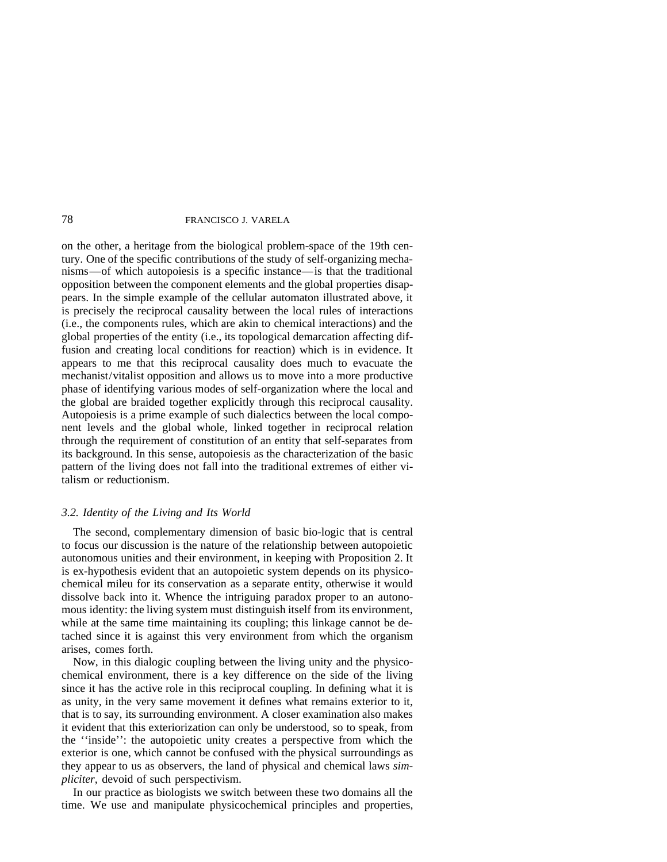on the other, a heritage from the biological problem-space of the 19th century. One of the specific contributions of the study of self-organizing mechanisms—of which autopoiesis is a specific instance—is that the traditional opposition between the component elements and the global properties disappears. In the simple example of the cellular automaton illustrated above, it is precisely the reciprocal causality between the local rules of interactions (i.e., the components rules, which are akin to chemical interactions) and the global properties of the entity (i.e., its topological demarcation affecting diffusion and creating local conditions for reaction) which is in evidence. It appears to me that this reciprocal causality does much to evacuate the mechanist/vitalist opposition and allows us to move into a more productive phase of identifying various modes of self-organization where the local and the global are braided together explicitly through this reciprocal causality. Autopoiesis is a prime example of such dialectics between the local component levels and the global whole, linked together in reciprocal relation through the requirement of constitution of an entity that self-separates from its background. In this sense, autopoiesis as the characterization of the basic pattern of the living does not fall into the traditional extremes of either vitalism or reductionism.

## *3.2. Identity of the Living and Its World*

The second, complementary dimension of basic bio-logic that is central to focus our discussion is the nature of the relationship between autopoietic autonomous unities and their environment, in keeping with Proposition 2. It is ex-hypothesis evident that an autopoietic system depends on its physicochemical mileu for its conservation as a separate entity, otherwise it would dissolve back into it. Whence the intriguing paradox proper to an autonomous identity: the living system must distinguish itself from its environment, while at the same time maintaining its coupling; this linkage cannot be detached since it is against this very environment from which the organism arises, comes forth.

Now, in this dialogic coupling between the living unity and the physicochemical environment, there is a key difference on the side of the living since it has the active role in this reciprocal coupling. In defining what it is as unity, in the very same movement it defines what remains exterior to it, that is to say, its surrounding environment. A closer examination also makes it evident that this exteriorization can only be understood, so to speak, from the ''inside'': the autopoietic unity creates a perspective from which the exterior is one, which cannot be confused with the physical surroundings as they appear to us as observers, the land of physical and chemical laws *simpliciter,* devoid of such perspectivism.

In our practice as biologists we switch between these two domains all the time. We use and manipulate physicochemical principles and properties,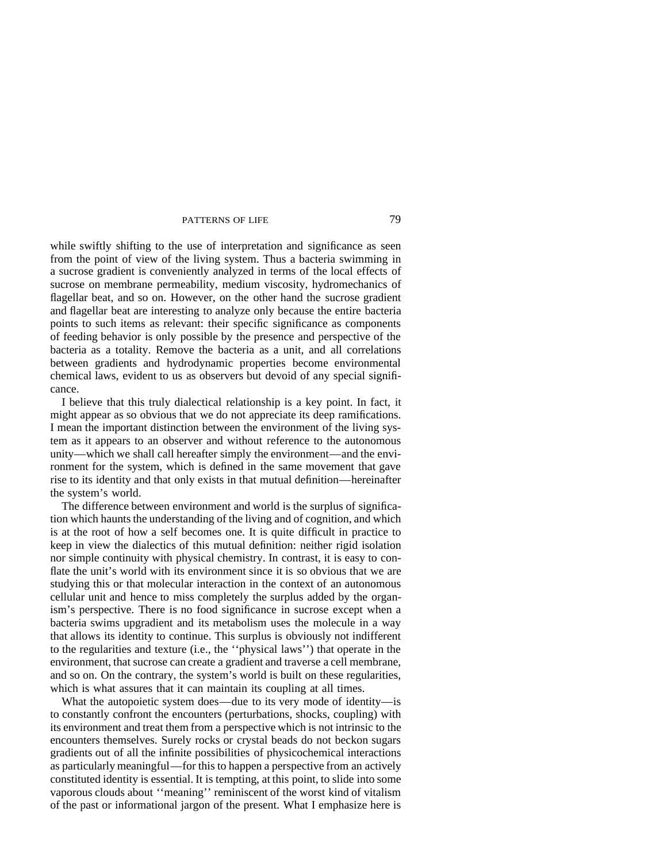while swiftly shifting to the use of interpretation and significance as seen from the point of view of the living system. Thus a bacteria swimming in a sucrose gradient is conveniently analyzed in terms of the local effects of sucrose on membrane permeability, medium viscosity, hydromechanics of flagellar beat, and so on. However, on the other hand the sucrose gradient and flagellar beat are interesting to analyze only because the entire bacteria points to such items as relevant: their specific significance as components of feeding behavior is only possible by the presence and perspective of the bacteria as a totality. Remove the bacteria as a unit, and all correlations between gradients and hydrodynamic properties become environmental chemical laws, evident to us as observers but devoid of any special significance.

I believe that this truly dialectical relationship is a key point. In fact, it might appear as so obvious that we do not appreciate its deep ramifications. I mean the important distinction between the environment of the living system as it appears to an observer and without reference to the autonomous unity—which we shall call hereafter simply the environment—and the environment for the system, which is defined in the same movement that gave rise to its identity and that only exists in that mutual definition—hereinafter the system's world.

The difference between environment and world is the surplus of signification which haunts the understanding of the living and of cognition, and which is at the root of how a self becomes one. It is quite difficult in practice to keep in view the dialectics of this mutual definition: neither rigid isolation nor simple continuity with physical chemistry. In contrast, it is easy to conflate the unit's world with its environment since it is so obvious that we are studying this or that molecular interaction in the context of an autonomous cellular unit and hence to miss completely the surplus added by the organism's perspective. There is no food significance in sucrose except when a bacteria swims upgradient and its metabolism uses the molecule in a way that allows its identity to continue. This surplus is obviously not indifferent to the regularities and texture (i.e., the ''physical laws'') that operate in the environment, that sucrose can create a gradient and traverse a cell membrane, and so on. On the contrary, the system's world is built on these regularities, which is what assures that it can maintain its coupling at all times.

What the autopoietic system does—due to its very mode of identity—is to constantly confront the encounters (perturbations, shocks, coupling) with its environment and treat them from a perspective which is not intrinsic to the encounters themselves. Surely rocks or crystal beads do not beckon sugars gradients out of all the infinite possibilities of physicochemical interactions as particularly meaningful—for this to happen a perspective from an actively constituted identity is essential. It is tempting, at this point, to slide into some vaporous clouds about ''meaning'' reminiscent of the worst kind of vitalism of the past or informational jargon of the present. What I emphasize here is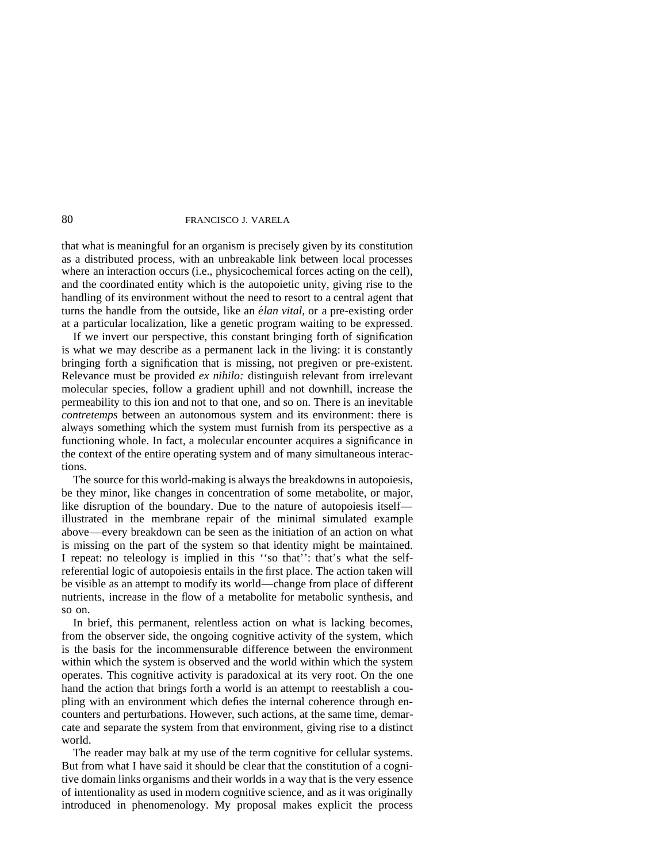that what is meaningful for an organism is precisely given by its constitution as a distributed process, with an unbreakable link between local processes where an interaction occurs (i.e., physicochemical forces acting on the cell), and the coordinated entity which is the autopoietic unity, giving rise to the handling of its environment without the need to resort to a central agent that turns the handle from the outside, like an *élan vital*, or a pre-existing order at a particular localization, like a genetic program waiting to be expressed.

If we invert our perspective, this constant bringing forth of signification is what we may describe as a permanent lack in the living: it is constantly bringing forth a signification that is missing, not pregiven or pre-existent. Relevance must be provided *ex nihilo:* distinguish relevant from irrelevant molecular species, follow a gradient uphill and not downhill, increase the permeability to this ion and not to that one, and so on. There is an inevitable *contretemps* between an autonomous system and its environment: there is always something which the system must furnish from its perspective as a functioning whole. In fact, a molecular encounter acquires a significance in the context of the entire operating system and of many simultaneous interactions.

The source for this world-making is always the breakdowns in autopoiesis, be they minor, like changes in concentration of some metabolite, or major, like disruption of the boundary. Due to the nature of autopoiesis itself illustrated in the membrane repair of the minimal simulated example above—every breakdown can be seen as the initiation of an action on what is missing on the part of the system so that identity might be maintained. I repeat: no teleology is implied in this "so that": that's what the selfreferential logic of autopoiesis entails in the first place. The action taken will be visible as an attempt to modify its world—change from place of different nutrients, increase in the flow of a metabolite for metabolic synthesis, and so on.

In brief, this permanent, relentless action on what is lacking becomes, from the observer side, the ongoing cognitive activity of the system, which is the basis for the incommensurable difference between the environment within which the system is observed and the world within which the system operates. This cognitive activity is paradoxical at its very root. On the one hand the action that brings forth a world is an attempt to reestablish a coupling with an environment which defies the internal coherence through encounters and perturbations. However, such actions, at the same time, demarcate and separate the system from that environment, giving rise to a distinct world.

The reader may balk at my use of the term cognitive for cellular systems. But from what I have said it should be clear that the constitution of a cognitive domain links organisms and their worlds in a way that is the very essence of intentionality as used in modern cognitive science, and as it was originally introduced in phenomenology. My proposal makes explicit the process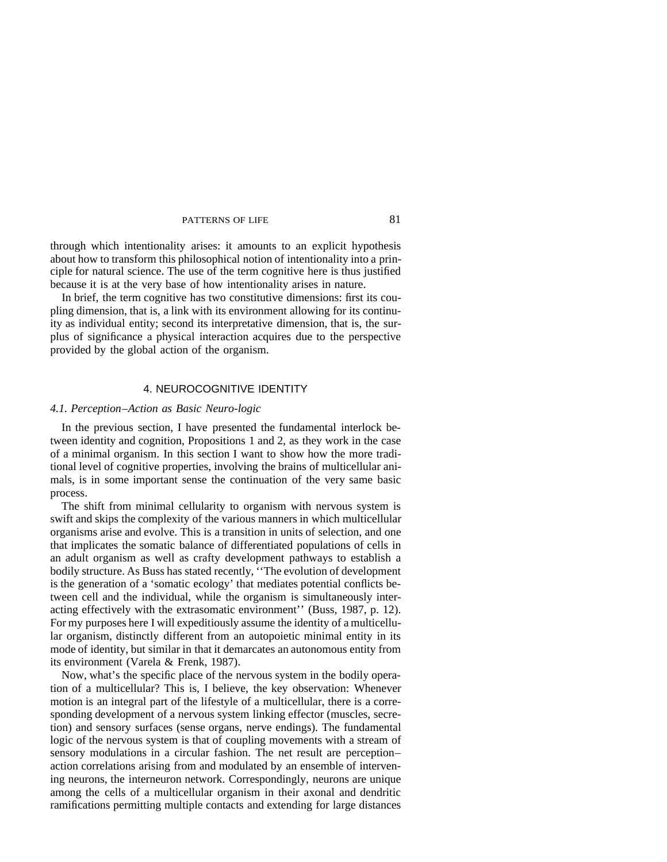through which intentionality arises: it amounts to an explicit hypothesis about how to transform this philosophical notion of intentionality into a principle for natural science. The use of the term cognitive here is thus justified because it is at the very base of how intentionality arises in nature.

In brief, the term cognitive has two constitutive dimensions: first its coupling dimension, that is, a link with its environment allowing for its continuity as individual entity; second its interpretative dimension, that is, the surplus of significance a physical interaction acquires due to the perspective provided by the global action of the organism.

#### 4. NEUROCOGNITIVE IDENTITY

#### *4.1. Perception–Action as Basic Neuro-logic*

In the previous section, I have presented the fundamental interlock between identity and cognition, Propositions 1 and 2, as they work in the case of a minimal organism. In this section I want to show how the more traditional level of cognitive properties, involving the brains of multicellular animals, is in some important sense the continuation of the very same basic process.

The shift from minimal cellularity to organism with nervous system is swift and skips the complexity of the various manners in which multicellular organisms arise and evolve. This is a transition in units of selection, and one that implicates the somatic balance of differentiated populations of cells in an adult organism as well as crafty development pathways to establish a bodily structure. As Buss has stated recently, ''The evolution of development is the generation of a 'somatic ecology' that mediates potential conflicts between cell and the individual, while the organism is simultaneously interacting effectively with the extrasomatic environment'' (Buss, 1987, p. 12). For my purposes here I will expeditiously assume the identity of a multicellular organism, distinctly different from an autopoietic minimal entity in its mode of identity, but similar in that it demarcates an autonomous entity from its environment (Varela & Frenk, 1987).

Now, what's the specific place of the nervous system in the bodily operation of a multicellular? This is, I believe, the key observation: Whenever motion is an integral part of the lifestyle of a multicellular, there is a corresponding development of a nervous system linking effector (muscles, secretion) and sensory surfaces (sense organs, nerve endings). The fundamental logic of the nervous system is that of coupling movements with a stream of sensory modulations in a circular fashion. The net result are perception– action correlations arising from and modulated by an ensemble of intervening neurons, the interneuron network. Correspondingly, neurons are unique among the cells of a multicellular organism in their axonal and dendritic ramifications permitting multiple contacts and extending for large distances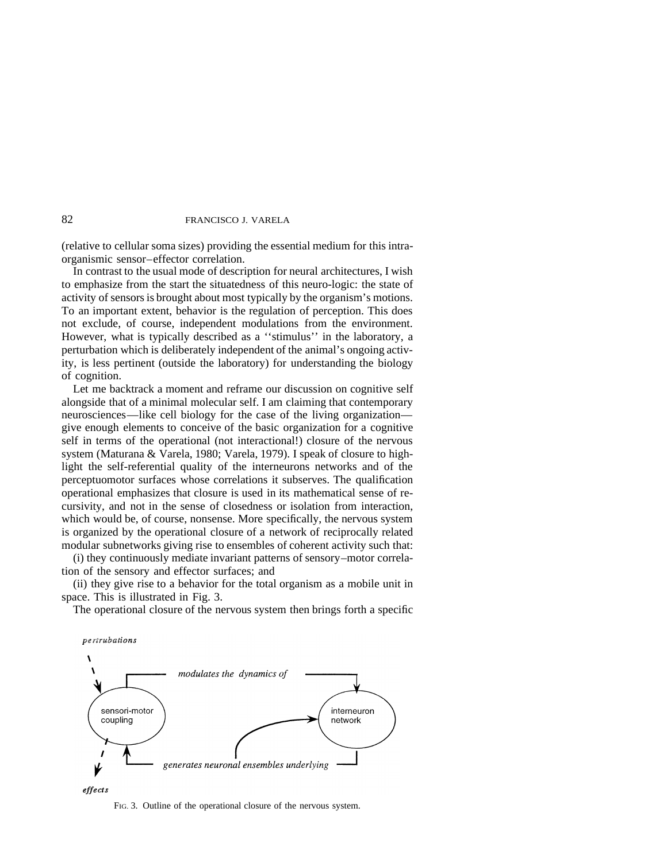(relative to cellular soma sizes) providing the essential medium for this intraorganismic sensor–effector correlation.

In contrast to the usual mode of description for neural architectures, I wish to emphasize from the start the situatedness of this neuro-logic: the state of activity of sensors is brought about most typically by the organism's motions. To an important extent, behavior is the regulation of perception. This does not exclude, of course, independent modulations from the environment. However, what is typically described as a "stimulus" in the laboratory, a perturbation which is deliberately independent of the animal's ongoing activity, is less pertinent (outside the laboratory) for understanding the biology of cognition.

Let me backtrack a moment and reframe our discussion on cognitive self alongside that of a minimal molecular self. I am claiming that contemporary neurosciences—like cell biology for the case of the living organization give enough elements to conceive of the basic organization for a cognitive self in terms of the operational (not interactional!) closure of the nervous system (Maturana & Varela, 1980; Varela, 1979). I speak of closure to highlight the self-referential quality of the interneurons networks and of the perceptuomotor surfaces whose correlations it subserves. The qualification operational emphasizes that closure is used in its mathematical sense of recursivity, and not in the sense of closedness or isolation from interaction, which would be, of course, nonsense. More specifically, the nervous system is organized by the operational closure of a network of reciprocally related modular subnetworks giving rise to ensembles of coherent activity such that:

(i) they continuously mediate invariant patterns of sensory–motor correlation of the sensory and effector surfaces; and

(ii) they give rise to a behavior for the total organism as a mobile unit in space. This is illustrated in Fig. 3.

The operational closure of the nervous system then brings forth a specific



effects

pertrubations

FIG. 3. Outline of the operational closure of the nervous system.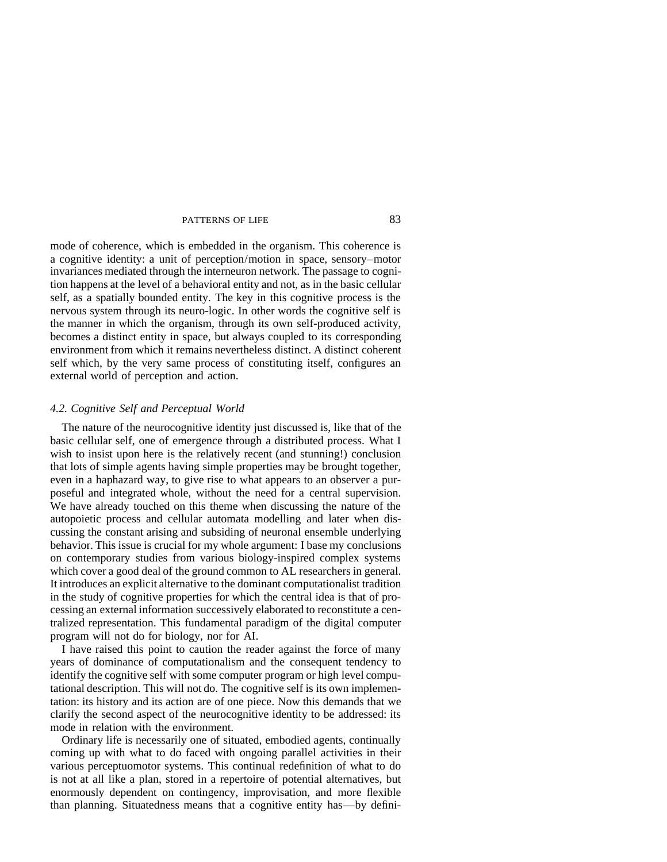mode of coherence, which is embedded in the organism. This coherence is a cognitive identity: a unit of perception/motion in space, sensory–motor invariances mediated through the interneuron network. The passage to cognition happens at the level of a behavioral entity and not, as in the basic cellular self, as a spatially bounded entity. The key in this cognitive process is the nervous system through its neuro-logic. In other words the cognitive self is the manner in which the organism, through its own self-produced activity, becomes a distinct entity in space, but always coupled to its corresponding environment from which it remains nevertheless distinct. A distinct coherent self which, by the very same process of constituting itself, configures an external world of perception and action.

### *4.2. Cognitive Self and Perceptual World*

The nature of the neurocognitive identity just discussed is, like that of the basic cellular self, one of emergence through a distributed process. What I wish to insist upon here is the relatively recent (and stunning!) conclusion that lots of simple agents having simple properties may be brought together, even in a haphazard way, to give rise to what appears to an observer a purposeful and integrated whole, without the need for a central supervision. We have already touched on this theme when discussing the nature of the autopoietic process and cellular automata modelling and later when discussing the constant arising and subsiding of neuronal ensemble underlying behavior. This issue is crucial for my whole argument: I base my conclusions on contemporary studies from various biology-inspired complex systems which cover a good deal of the ground common to AL researchers in general. It introduces an explicit alternative to the dominant computationalist tradition in the study of cognitive properties for which the central idea is that of processing an external information successively elaborated to reconstitute a centralized representation. This fundamental paradigm of the digital computer program will not do for biology, nor for AI.

I have raised this point to caution the reader against the force of many years of dominance of computationalism and the consequent tendency to identify the cognitive self with some computer program or high level computational description. This will not do. The cognitive self is its own implementation: its history and its action are of one piece. Now this demands that we clarify the second aspect of the neurocognitive identity to be addressed: its mode in relation with the environment.

Ordinary life is necessarily one of situated, embodied agents, continually coming up with what to do faced with ongoing parallel activities in their various perceptuomotor systems. This continual redefinition of what to do is not at all like a plan, stored in a repertoire of potential alternatives, but enormously dependent on contingency, improvisation, and more flexible than planning. Situatedness means that a cognitive entity has—by defini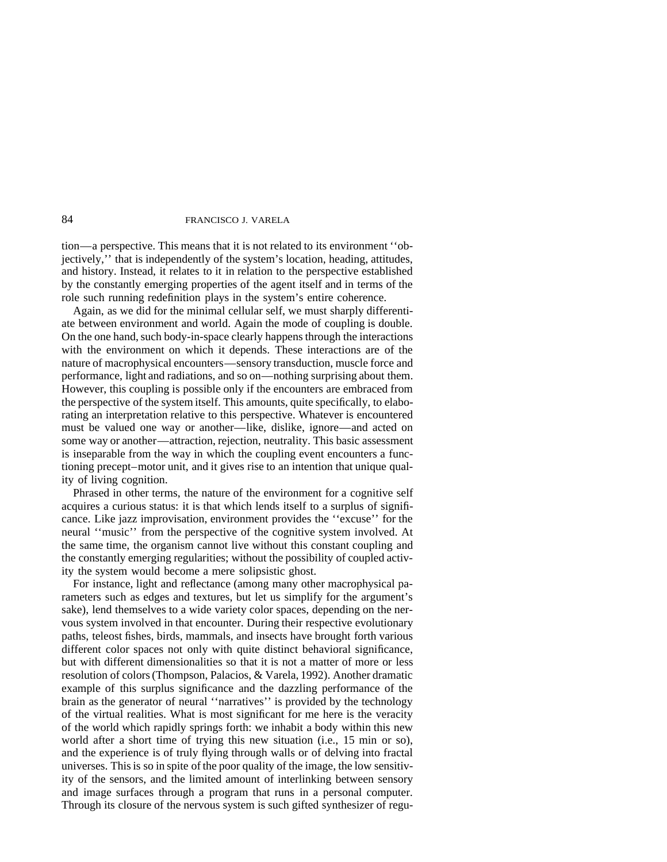tion—a perspective. This means that it is not related to its environment ''objectively," that is independently of the system's location, heading, attitudes, and history. Instead, it relates to it in relation to the perspective established by the constantly emerging properties of the agent itself and in terms of the role such running redefinition plays in the system's entire coherence.

Again, as we did for the minimal cellular self, we must sharply differentiate between environment and world. Again the mode of coupling is double. On the one hand, such body-in-space clearly happens through the interactions with the environment on which it depends. These interactions are of the nature of macrophysical encounters—sensory transduction, muscle force and performance, light and radiations, and so on—nothing surprising about them. However, this coupling is possible only if the encounters are embraced from the perspective of the system itself. This amounts, quite specifically, to elaborating an interpretation relative to this perspective. Whatever is encountered must be valued one way or another—like, dislike, ignore—and acted on some way or another—attraction, rejection, neutrality. This basic assessment is inseparable from the way in which the coupling event encounters a functioning precept–motor unit, and it gives rise to an intention that unique quality of living cognition.

Phrased in other terms, the nature of the environment for a cognitive self acquires a curious status: it is that which lends itself to a surplus of significance. Like jazz improvisation, environment provides the ''excuse'' for the neural ''music'' from the perspective of the cognitive system involved. At the same time, the organism cannot live without this constant coupling and the constantly emerging regularities; without the possibility of coupled activity the system would become a mere solipsistic ghost.

For instance, light and reflectance (among many other macrophysical parameters such as edges and textures, but let us simplify for the argument's sake), lend themselves to a wide variety color spaces, depending on the nervous system involved in that encounter. During their respective evolutionary paths, teleost fishes, birds, mammals, and insects have brought forth various different color spaces not only with quite distinct behavioral significance, but with different dimensionalities so that it is not a matter of more or less resolution of colors (Thompson, Palacios, & Varela, 1992). Another dramatic example of this surplus significance and the dazzling performance of the brain as the generator of neural ''narratives'' is provided by the technology of the virtual realities. What is most significant for me here is the veracity of the world which rapidly springs forth: we inhabit a body within this new world after a short time of trying this new situation (i.e., 15 min or so), and the experience is of truly flying through walls or of delving into fractal universes. This is so in spite of the poor quality of the image, the low sensitivity of the sensors, and the limited amount of interlinking between sensory and image surfaces through a program that runs in a personal computer. Through its closure of the nervous system is such gifted synthesizer of regu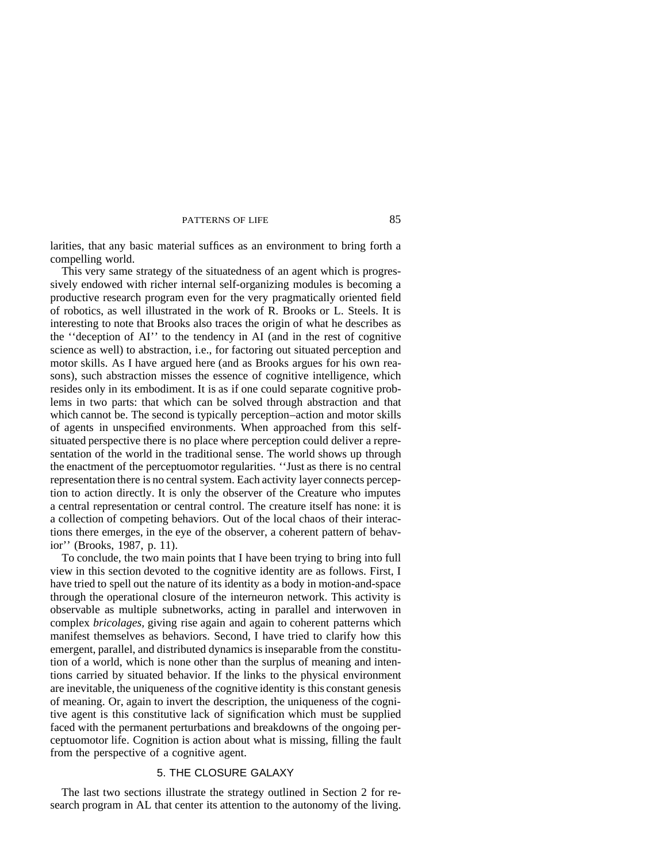larities, that any basic material suffices as an environment to bring forth a compelling world.

This very same strategy of the situatedness of an agent which is progressively endowed with richer internal self-organizing modules is becoming a productive research program even for the very pragmatically oriented field of robotics, as well illustrated in the work of R. Brooks or L. Steels. It is interesting to note that Brooks also traces the origin of what he describes as the ''deception of AI'' to the tendency in AI (and in the rest of cognitive science as well) to abstraction, i.e., for factoring out situated perception and motor skills. As I have argued here (and as Brooks argues for his own reasons), such abstraction misses the essence of cognitive intelligence, which resides only in its embodiment. It is as if one could separate cognitive problems in two parts: that which can be solved through abstraction and that which cannot be. The second is typically perception–action and motor skills of agents in unspecified environments. When approached from this selfsituated perspective there is no place where perception could deliver a representation of the world in the traditional sense. The world shows up through the enactment of the perceptuomotor regularities. ''Just as there is no central representation there is no central system. Each activity layer connects perception to action directly. It is only the observer of the Creature who imputes a central representation or central control. The creature itself has none: it is a collection of competing behaviors. Out of the local chaos of their interactions there emerges, in the eye of the observer, a coherent pattern of behavior'' (Brooks, 1987, p. 11).

To conclude, the two main points that I have been trying to bring into full view in this section devoted to the cognitive identity are as follows. First, I have tried to spell out the nature of its identity as a body in motion-and-space through the operational closure of the interneuron network. This activity is observable as multiple subnetworks, acting in parallel and interwoven in complex *bricolages,* giving rise again and again to coherent patterns which manifest themselves as behaviors. Second, I have tried to clarify how this emergent, parallel, and distributed dynamics is inseparable from the constitution of a world, which is none other than the surplus of meaning and intentions carried by situated behavior. If the links to the physical environment are inevitable, the uniqueness of the cognitive identity is this constant genesis of meaning. Or, again to invert the description, the uniqueness of the cognitive agent is this constitutive lack of signification which must be supplied faced with the permanent perturbations and breakdowns of the ongoing perceptuomotor life. Cognition is action about what is missing, filling the fault from the perspective of a cognitive agent.

### 5. THE CLOSURE GALAXY

The last two sections illustrate the strategy outlined in Section 2 for research program in AL that center its attention to the autonomy of the living.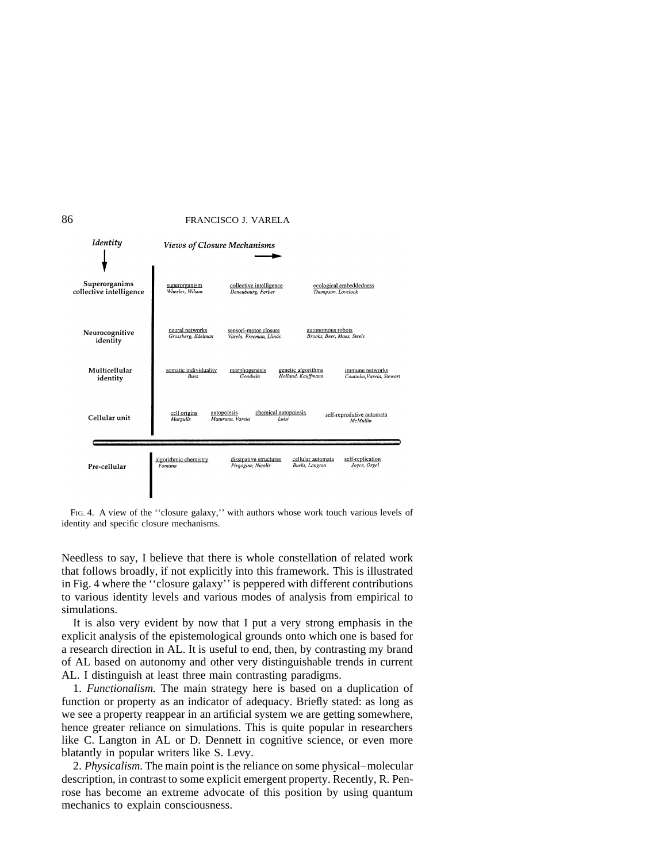

FIG. 4. A view of the ''closure galaxy,'' with authors whose work touch various levels of identity and specific closure mechanisms.

Needless to say, I believe that there is whole constellation of related work that follows broadly, if not explicitly into this framework. This is illustrated in Fig. 4 where the ''closure galaxy'' is peppered with different contributions to various identity levels and various modes of analysis from empirical to simulations.

It is also very evident by now that I put a very strong emphasis in the explicit analysis of the epistemological grounds onto which one is based for a research direction in AL. It is useful to end, then, by contrasting my brand of AL based on autonomy and other very distinguishable trends in current AL. I distinguish at least three main contrasting paradigms.

1. *Functionalism.* The main strategy here is based on a duplication of function or property as an indicator of adequacy. Briefly stated: as long as we see a property reappear in an artificial system we are getting somewhere, hence greater reliance on simulations. This is quite popular in researchers like C. Langton in AL or D. Dennett in cognitive science, or even more blatantly in popular writers like S. Levy.

2. *Physicalism.* The main point is the reliance on some physical–molecular description, in contrast to some explicit emergent property. Recently, R. Penrose has become an extreme advocate of this position by using quantum mechanics to explain consciousness.